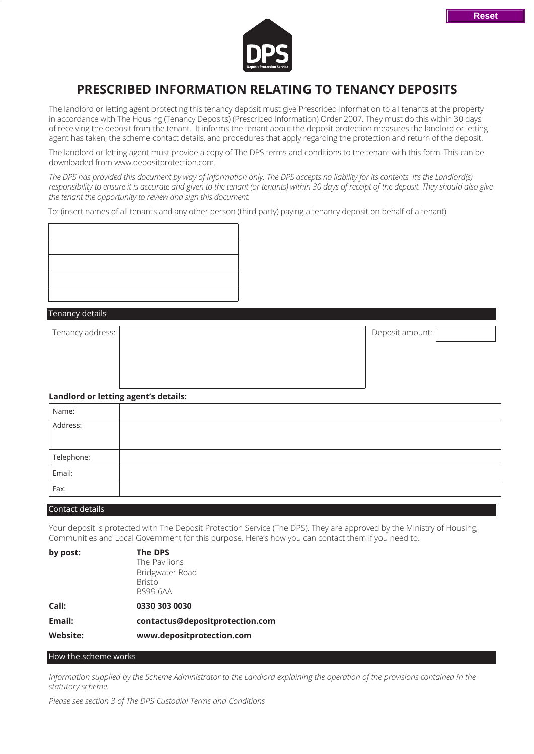

# **PRESCRIBED INFORMATION RELATING TO TENANCY DEPOSITS**

The landlord or letting agent protecting this tenancy deposit must give Prescribed Information to all tenants at the property in accordance with The Housing (Tenancy Deposits) (Prescribed Information) Order 2007. They must do this within 30 days of receiving the deposit from the tenant. It informs the tenant about the deposit protection measures the landlord or letting agent has taken, the scheme contact details, and procedures that apply regarding the protection and return of the deposit.

The landlord or letting agent must provide a copy of The DPS terms and conditions to the tenant with this form. This can be downloaded from www.depositprotection.com.

*The DPS has provided this document by way of information only. The DPS accepts no liability for its contents. It's the Landlord(s) responsibility to ensure it is accurate and given to the tenant (or tenants) within 30 days of receipt of the deposit. They should also give the tenant the opportunity to review and sign this document.*

To: (insert names of all tenants and any other person (third party) paying a tenancy deposit on behalf of a tenant)



#### Tenancy details

Tenancy address: Notice and the set of the set of the set of the set of the set of the set of the set of the set of the set of the set of the set of the set of the set of the set of the set of the set of the set of the set

# **Landlord or letting agent's details:**

| Name:      |  |
|------------|--|
| Address:   |  |
|            |  |
| Telephone: |  |
| Email:     |  |
| Fax:       |  |

#### Contact details

Your deposit is protected with The Deposit Protection Service (The DPS). They are approved by the Ministry of Housing, Communities and Local Government for this purpose. Here's how you can contact them if you need to.

| by post:        | The DPS                         |
|-----------------|---------------------------------|
|                 | The Pavilions                   |
|                 | Bridgwater Road                 |
|                 | <b>Bristol</b>                  |
|                 | <b>BS99 6AA</b>                 |
| Call:           | 0330 303 0030                   |
| Email:          | contactus@depositprotection.com |
| <b>Website:</b> | www.depositprotection.com       |
|                 |                                 |

## How the scheme works

*Information supplied by the Scheme Administrator to the Landlord explaining the operation of the provisions contained in the statutory scheme.*

*Please see section 3 of The DPS Custodial Terms and Conditions*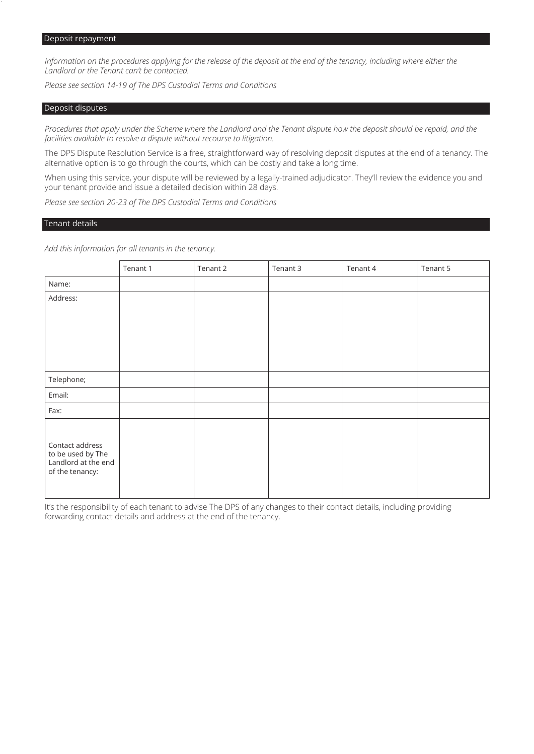*Information on the procedures applying for the release of the deposit at the end of the tenancy, including where either the Landlord or the Tenant can't be contacted.*

*Please see section 14-19 of The DPS Custodial Terms and Conditions*

#### Deposit disputes

*Procedures that apply under the Scheme where the Landlord and the Tenant dispute how the deposit should be repaid, and the facilities available to resolve a dispute without recourse to litigation.*

The DPS Dispute Resolution Service is a free, straightforward way of resolving deposit disputes at the end of a tenancy. The alternative option is to go through the courts, which can be costly and take a long time.

When using this service, your dispute will be reviewed by a legally-trained adjudicator. They'll review the evidence you and your tenant provide and issue a detailed decision within 28 days.

*Please see section 20-23 of The DPS Custodial Terms and Conditions*

## Tenant details

*Add this information for all tenants in the tenancy.*

|                                                                                | Tenant 1 | Tenant 2 | Tenant 3 | Tenant 4 | Tenant 5 |
|--------------------------------------------------------------------------------|----------|----------|----------|----------|----------|
| Name:                                                                          |          |          |          |          |          |
| Address:                                                                       |          |          |          |          |          |
|                                                                                |          |          |          |          |          |
|                                                                                |          |          |          |          |          |
|                                                                                |          |          |          |          |          |
|                                                                                |          |          |          |          |          |
| Telephone;                                                                     |          |          |          |          |          |
| Email:                                                                         |          |          |          |          |          |
| Fax:                                                                           |          |          |          |          |          |
|                                                                                |          |          |          |          |          |
| Contact address<br>to be used by The<br>Landlord at the end<br>of the tenancy: |          |          |          |          |          |

It's the responsibility of each tenant to advise The DPS of any changes to their contact details, including providing forwarding contact details and address at the end of the tenancy.